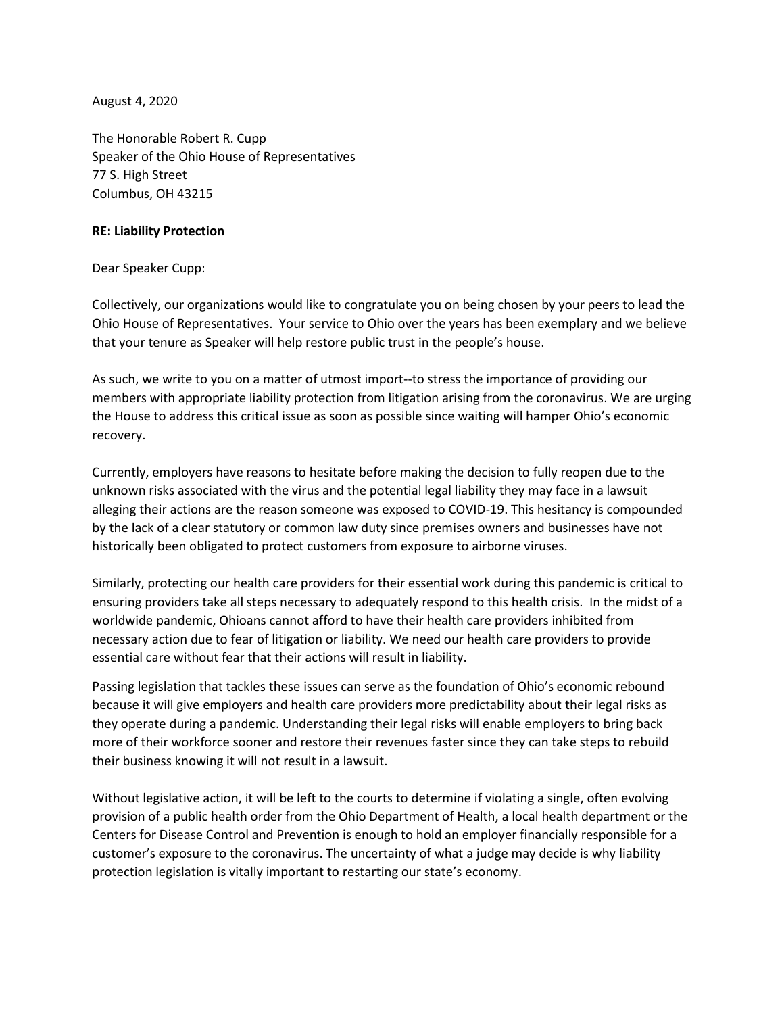August 4, 2020

The Honorable Robert R. Cupp Speaker of the Ohio House of Representatives 77 S. High Street Columbus, OH 43215

## **RE: Liability Protection**

## Dear Speaker Cupp:

Collectively, our organizations would like to congratulate you on being chosen by your peers to lead the Ohio House of Representatives. Your service to Ohio over the years has been exemplary and we believe that your tenure as Speaker will help restore public trust in the people's house.

As such, we write to you on a matter of utmost import--to stress the importance of providing our members with appropriate liability protection from litigation arising from the coronavirus. We are urging the House to address this critical issue as soon as possible since waiting will hamper Ohio's economic recovery.

Currently, employers have reasons to hesitate before making the decision to fully reopen due to the unknown risks associated with the virus and the potential legal liability they may face in a lawsuit alleging their actions are the reason someone was exposed to COVID-19. This hesitancy is compounded by the lack of a clear statutory or common law duty since premises owners and businesses have not historically been obligated to protect customers from exposure to airborne viruses.

Similarly, protecting our health care providers for their essential work during this pandemic is critical to ensuring providers take all steps necessary to adequately respond to this health crisis. In the midst of a worldwide pandemic, Ohioans cannot afford to have their health care providers inhibited from necessary action due to fear of litigation or liability. We need our health care providers to provide essential care without fear that their actions will result in liability.

Passing legislation that tackles these issues can serve as the foundation of Ohio's economic rebound because it will give employers and health care providers more predictability about their legal risks as they operate during a pandemic. Understanding their legal risks will enable employers to bring back more of their workforce sooner and restore their revenues faster since they can take steps to rebuild their business knowing it will not result in a lawsuit.

Without legislative action, it will be left to the courts to determine if violating a single, often evolving provision of a public health order from the Ohio Department of Health, a local health department or the Centers for Disease Control and Prevention is enough to hold an employer financially responsible for a customer's exposure to the coronavirus. The uncertainty of what a judge may decide is why liability protection legislation is vitally important to restarting our state's economy.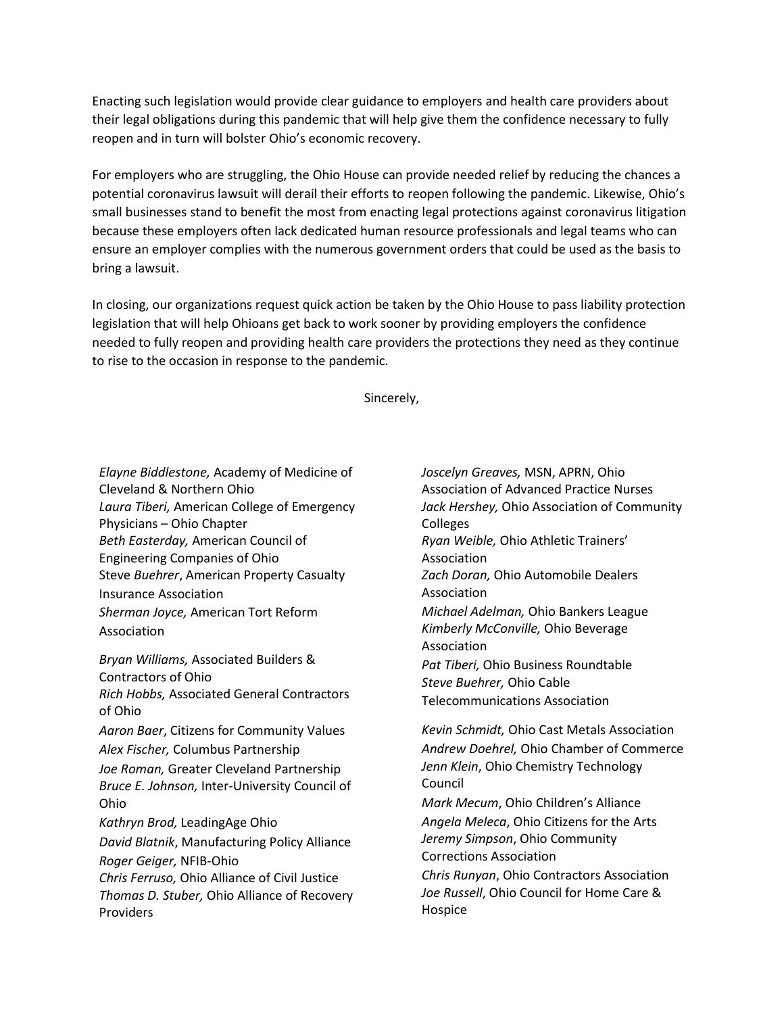Enacting such legislation would provide clear guidance to employers and health care providers about their legal obligations during this pandemic that will help give them the confidence necessary to fully reopen and in turn will bolster Ohio's economic recovery.

For employers who are struggling, the Ohio House can provide needed relief by reducing the chances a potential coronavirus lawsuit will derail their efforts to reopen following the pandemic. Likewise, Ohio's small businesses stand to benefit the most from enacting legal protections against coronavirus litigation because these employers often lack dedicated human resource professionals and legal teams who can ensure an employer complies with the numerous government orders that could be used as the basis to bring a lawsuit.

In closing, our organizations request quick action be taken by the Ohio House to pass liability protection legislation that will help Ohioans get back to work sooner by providing employers the confidence needed to fully reopen and providing health care providers the protections they need as they continue to rise to the occasion in response to the pandemic.

Sincerely,

*Elayne Biddlestone,* Academy of Medicine of Cleveland & Northern Ohio *Laura Tiberi,* American College of Emergency Physicians – Ohio Chapter *Beth Easterday,* American Council of Engineering Companies of Ohio Steve *Buehrer*, American Property Casualty Insurance Association *Sherman Joyce,* American Tort Reform Association *Bryan Williams,* Associated Builders & Contractors of Ohio *Rich Hobbs,* Associated General Contractors of Ohio *Aaron Baer*, Citizens for Community Values *Alex Fischer,* Columbus Partnership *Joe Roman,* Greater Cleveland Partnership *Bruce E. Johnson,* Inter-University Council of Ohio *Kathryn Brod,* LeadingAge Ohio *David Blatnik*, Manufacturing Policy Alliance *Roger Geiger,* NFIB-Ohio *Chris Ferruso,* Ohio Alliance of Civil Justice *Thomas D. Stuber,* Ohio Alliance of Recovery Providers

*Joscelyn Greaves,* MSN, APRN, Ohio Association of Advanced Practice Nurses *Jack Hershey,* Ohio Association of Community Colleges *Ryan Weible,* Ohio Athletic Trainers' Association *Zach Doran,* Ohio Automobile Dealers Association *Michael Adelman,* Ohio Bankers League *Kimberly McConville,* Ohio Beverage Association *Pat Tiberi,* Ohio Business Roundtable *Steve Buehrer,* Ohio Cable Telecommunications Association

*Kevin Schmidt,* Ohio Cast Metals Association *Andrew Doehrel,* Ohio Chamber of Commerce *Jenn Klein*, Ohio Chemistry Technology Council

*Mark Mecum*, Ohio Children's Alliance *Angela Meleca*, Ohio Citizens for the Arts *Jeremy Simpson*, Ohio Community Corrections Association

*Chris Runyan*, Ohio Contractors Association *Joe Russell*, Ohio Council for Home Care & Hospice